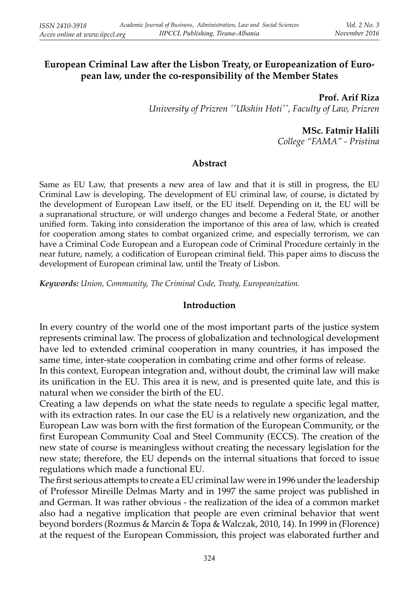## **European Criminal Law after the Lisbon Treaty, or Europeanization of European law, under the co-responsibility of the Member States**

**Prof. Arif Riza***University of Prizren ''Ukshin Hoti'', Faculty of Law, Prizren*

**MSc. Fatmir Halili**

*College "FAMA" - Pristina*

### **Abstract**

Same as EU Law, that presents a new area of law and that it is still in progress, the EU Criminal Law is developing. The development of EU criminal law, of course, is dictated by the development of European Law itself, or the EU itself. Depending on it, the EU will be a supranational structure, or will undergo changes and become a Federal State, or another unified form. Taking into consideration the importance of this area of law, which is created for cooperation among states to combat organized crime, and especially terrorism, we can have a Criminal Code European and a European code of Criminal Procedure certainly in the near future, namely, a codification of European criminal field. This paper aims to discuss the development of European criminal law, until the Treaty of Lisbon.

*Keywords: Union, Community, The Criminal Code, Treaty, Europeanization.* 

### **Introduction**

In every country of the world one of the most important parts of the justice system represents criminal law. The process of globalization and technological development have led to extended criminal cooperation in many countries, it has imposed the same time, inter-state cooperation in combating crime and other forms of release.

In this context, European integration and, without doubt, the criminal law will make its unification in the EU. This area it is new, and is presented quite late, and this is natural when we consider the birth of the EU.

Creating a law depends on what the state needs to regulate a specific legal matter, with its extraction rates. In our case the EU is a relatively new organization, and the European Law was born with the first formation of the European Community, or the first European Community Coal and Steel Community (ECCS). The creation of the new state of course is meaningless without creating the necessary legislation for the new state; therefore, the EU depends on the internal situations that forced to issue regulations which made a functional EU.

The first serious attempts to create a EU criminal law were in 1996 under the leadership of Professor Mireille Delmas Marty and in 1997 the same project was published in and German. It was rather obvious - the realization of the idea of a common market also had a negative implication that people are even criminal behavior that went beyond borders (Rozmus & Marcin & Topa & Walczak, 2010, 14). In 1999 in (Florence) at the request of the European Commission, this project was elaborated further and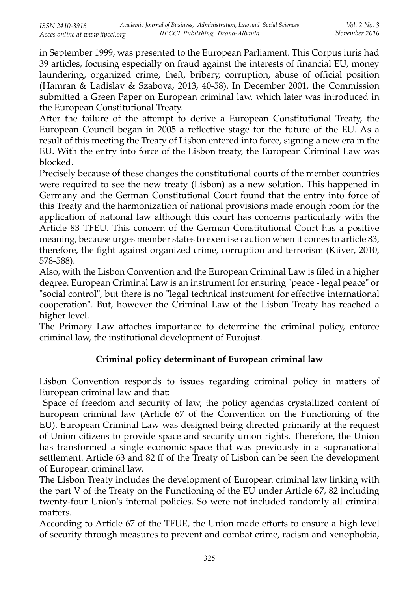in September 1999, was presented to the European Parliament. This Corpus iuris had 39 articles, focusing especially on fraud against the interests of financial EU, money laundering, organized crime, theft, bribery, corruption, abuse of official position (Hamran & Ladislav & Szabova, 2013, 40-58). In December 2001, the Commission submitted a Green Paper on European criminal law, which later was introduced in the European Constitutional Treaty.

After the failure of the attempt to derive a European Constitutional Treaty, the European Council began in 2005 a reflective stage for the future of the EU. As a result of this meeting the Treaty of Lisbon entered into force, signing a new era in the EU. With the entry into force of the Lisbon treaty, the European Criminal Law was blocked.

Precisely because of these changes the constitutional courts of the member countries were required to see the new treaty (Lisbon) as a new solution. This happened in Germany and the German Constitutional Court found that the entry into force of this Treaty and the harmonization of national provisions made enough room for the application of national law although this court has concerns particularly with the Article 83 TFEU. This concern of the German Constitutional Court has a positive meaning, because urges member states to exercise caution when it comes to article 83, therefore, the fight against organized crime, corruption and terrorism (Kiiver, 2010, 578-588).

Also, with the Lisbon Convention and the European Criminal Law is filed in a higher degree. European Criminal Law is an instrument for ensuring "peace - legal peace" or "social control", but there is no "legal technical instrument for effective international cooperation". But, however the Criminal Law of the Lisbon Treaty has reached a higher level.

The Primary Law attaches importance to determine the criminal policy, enforce criminal law, the institutional development of Eurojust.

# **Criminal policy determinant of European criminal law**

Lisbon Convention responds to issues regarding criminal policy in matters of European criminal law and that:

 Space of freedom and security of law, the policy agendas crystallized content of European criminal law (Article 67 of the Convention on the Functioning of the EU). European Criminal Law was designed being directed primarily at the request of Union citizens to provide space and security union rights. Therefore, the Union has transformed a single economic space that was previously in a supranational settlement. Article 63 and 82 ff of the Treaty of Lisbon can be seen the development of European criminal law.

The Lisbon Treaty includes the development of European criminal law linking with the part V of the Treaty on the Functioning of the EU under Article 67, 82 including twenty-four Union's internal policies. So were not included randomly all criminal matters.

According to Article 67 of the TFUE, the Union made efforts to ensure a high level of security through measures to prevent and combat crime, racism and xenophobia,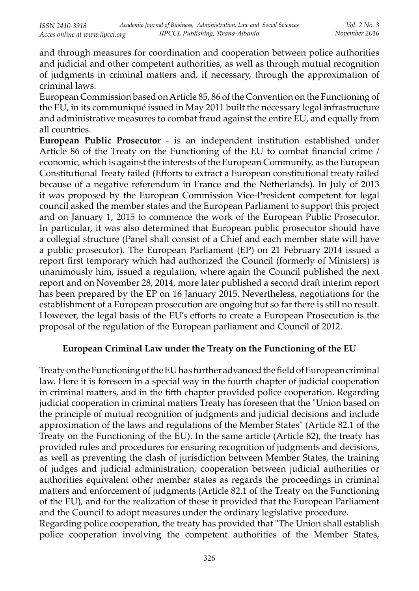and through measures for coordination and cooperation between police authorities and judicial and other competent authorities, as well as through mutual recognition of judgments in criminal matters and, if necessary, through the approximation of criminal laws.

European Commission based on Article 85, 86 of the Convention on the Functioning of the EU, in its communiqué issued in May 2011 built the necessary legal infrastructure and administrative measures to combat fraud against the entire EU, and equally from all countries.

**European Public Prosecutor** - is an independent institution established under Article 86 of the Treaty on the Functioning of the EU to combat financial crime / economic, which is against the interests of the European Community, as the European Constitutional Treaty failed (Efforts to extract a European constitutional treaty failed because of a negative referendum in France and the Netherlands). In July of 2013 it was proposed by the European Commission Vice-President competent for legal council asked the member states and the European Parliament to support this project and on January 1, 2015 to commence the work of the European Public Prosecutor. In particular, it was also determined that European public prosecutor should have a collegial structure (Panel shall consist of a Chief and each member state will have a public prosecutor). The European Parliament (EP) on 21 February 2014 issued a report first temporary which had authorized the Council (formerly of Ministers) is unanimously him, issued a regulation, where again the Council published the next report and on November 28, 2014, more later published a second draft interim report has been prepared by the EP on 16 January 2015. Nevertheless, negotiations for the establishment of a European prosecution are ongoing but so far there is still no result. However, the legal basis of the EU's efforts to create a European Prosecution is the proposal of the regulation of the European parliament and Council of 2012.

## **European Criminal Law under the Treaty on the Functioning of the EU**

Treaty on the Functioning of the EU has further advanced the field of European criminal law. Here it is foreseen in a special way in the fourth chapter of judicial cooperation in criminal matters, and in the fifth chapter provided police cooperation. Regarding judicial cooperation in criminal matters Treaty has foreseen that the "Union based on the principle of mutual recognition of judgments and judicial decisions and include approximation of the laws and regulations of the Member States" (Article 82.1 of the Treaty on the Functioning of the EU). In the same article (Article 82), the treaty has provided rules and procedures for ensuring recognition of judgments and decisions, as well as preventing the clash of jurisdiction between Member States, the training of judges and judicial administration, cooperation between judicial authorities or authorities equivalent other member states as regards the proceedings in criminal matters and enforcement of judgments (Article 82.1 of the Treaty on the Functioning of the EU), and for the realization of these it provided that the European Parliament and the Council to adopt measures under the ordinary legislative procedure.

Regarding police cooperation, the treaty has provided that "The Union shall establish police cooperation involving the competent authorities of the Member States,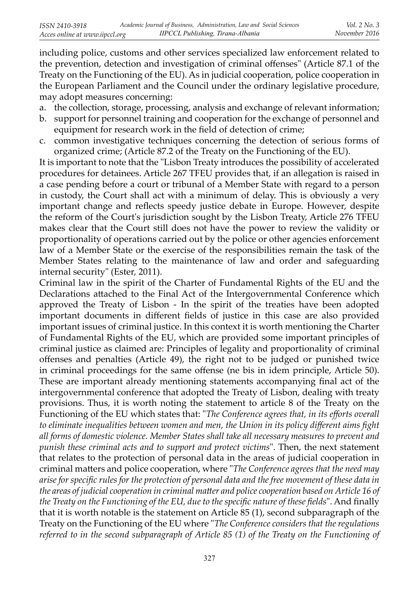including police, customs and other services specialized law enforcement related to the prevention, detection and investigation of criminal offenses" (Article 87.1 of the Treaty on the Functioning of the EU). As in judicial cooperation, police cooperation in the European Parliament and the Council under the ordinary legislative procedure, may adopt measures concerning:

- a. the collection, storage, processing, analysis and exchange of relevant information;
- b. support for personnel training and cooperation for the exchange of personnel and equipment for research work in the field of detection of crime;
- c. common investigative techniques concerning the detection of serious forms of organized crime; (Article 87.2 of the Treaty on the Functioning of the EU).

It is important to note that the "Lisbon Treaty introduces the possibility of accelerated procedures for detainees. Article 267 TFEU provides that, if an allegation is raised in a case pending before a court or tribunal of a Member State with regard to a person in custody, the Court shall act with a minimum of delay. This is obviously a very important change and reflects speedy justice debate in Europe. However, despite the reform of the Court's jurisdiction sought by the Lisbon Treaty, Article 276 TFEU makes clear that the Court still does not have the power to review the validity or proportionality of operations carried out by the police or other agencies enforcement law of a Member State or the exercise of the responsibilities remain the task of the Member States relating to the maintenance of law and order and safeguarding internal security" (Ester, 2011).

Criminal law in the spirit of the Charter of Fundamental Rights of the EU and the Declarations attached to the Final Act of the Intergovernmental Conference which approved the Treaty of Lisbon - In the spirit of the treaties have been adopted important documents in different fields of justice in this case are also provided important issues of criminal justice. In this context it is worth mentioning the Charter of Fundamental Rights of the EU, which are provided some important principles of criminal justice as claimed are: Principles of legality and proportionality of criminal offenses and penalties (Article 49), the right not to be judged or punished twice in criminal proceedings for the same offense (ne bis in idem principle, Article 50). These are important already mentioning statements accompanying final act of the intergovernmental conference that adopted the Treaty of Lisbon, dealing with treaty provisions. Thus, it is worth noting the statement to article 8 of the Treaty on the Functioning of the EU which states that: "*The Conference agrees that, in its efforts overall* to eliminate inequalities between women and men, the Union in its policy different aims fight *all forms of domestic violence. Member States shall take all necessary measures to prevent and punish these criminal acts and to support and protect victims*". Then, the next statement that relates to the protection of personal data in the areas of judicial cooperation in criminal matters and police cooperation, where "*The Conference agrees that the need may arise for specifi c rules for the protection of personal data and the free movement of these data in the areas of judicial cooperation in criminal matter and police cooperation based on Article 16 of the Treaty on the Functioning of the EU, due to the specific nature of these fields*". And finally that it is worth notable is the statement on Article 85 (1), second subparagraph of the Treaty on the Functioning of the EU where "*The Conference considers that the regulations referred to in the second subparagraph of Article 85 (1) of the Treaty on the Functioning of*